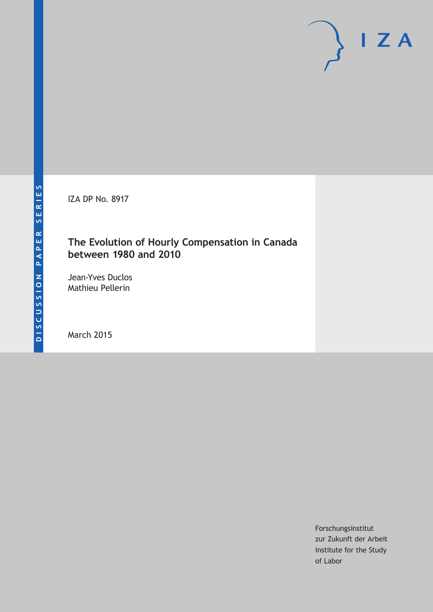IZA DP No. 8917

# **The Evolution of Hourly Compensation in Canada between 1980 and 2010**

Jean-Yves Duclos Mathieu Pellerin

March 2015

Forschungsinstitut zur Zukunft der Arbeit Institute for the Study of Labor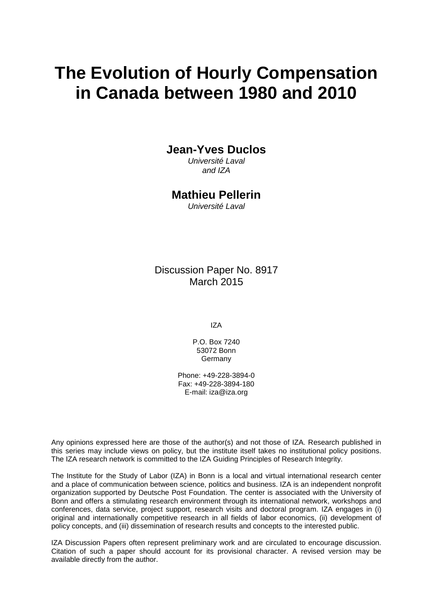# **The Evolution of Hourly Compensation in Canada between 1980 and 2010**

## **Jean-Yves Duclos**

*Université Laval and IZA*

### **Mathieu Pellerin**

*Université Laval*

Discussion Paper No. 8917 March 2015

IZA

P.O. Box 7240 53072 Bonn Germany

Phone: +49-228-3894-0 Fax: +49-228-3894-180 E-mail: iza@iza.org

Any opinions expressed here are those of the author(s) and not those of IZA. Research published in this series may include views on policy, but the institute itself takes no institutional policy positions. The IZA research network is committed to the IZA Guiding Principles of Research Integrity.

The Institute for the Study of Labor (IZA) in Bonn is a local and virtual international research center and a place of communication between science, politics and business. IZA is an independent nonprofit organization supported by Deutsche Post Foundation. The center is associated with the University of Bonn and offers a stimulating research environment through its international network, workshops and conferences, data service, project support, research visits and doctoral program. IZA engages in (i) original and internationally competitive research in all fields of labor economics, (ii) development of policy concepts, and (iii) dissemination of research results and concepts to the interested public.

<span id="page-1-0"></span>IZA Discussion Papers often represent preliminary work and are circulated to encourage discussion. Citation of such a paper should account for its provisional character. A revised version may be available directly from the author.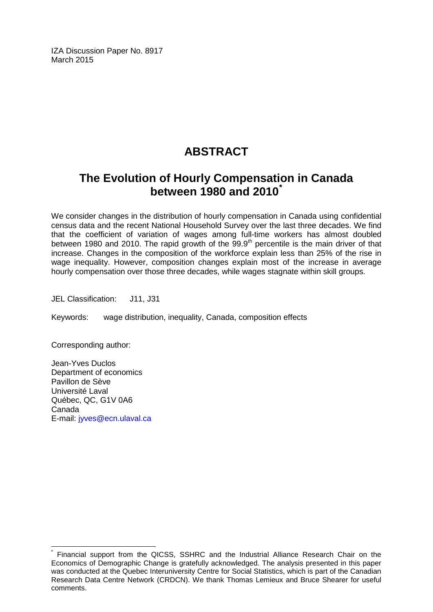IZA Discussion Paper No. 8917 March 2015

# **ABSTRACT**

# **The Evolution of Hourly Compensation in Canada between 1980 and 2010[\\*](#page-1-0)**

We consider changes in the distribution of hourly compensation in Canada using confidential census data and the recent National Household Survey over the last three decades. We find that the coefficient of variation of wages among full-time workers has almost doubled between 1980 and 2010. The rapid growth of the 99.9*th* percentile is the main driver of that increase. Changes in the composition of the workforce explain less than 25% of the rise in wage inequality. However, composition changes explain most of the increase in average hourly compensation over those three decades, while wages stagnate within skill groups.

JEL Classification: J11, J31

Keywords: wage distribution, inequality, Canada, composition effects

Corresponding author:

Jean-Yves Duclos Department of economics Pavillon de Sève Université Laval Québec, QC, G1V 0A6 Canada E-mail: [jyves@ecn.ulaval.ca](mailto:jyves@ecn.ulaval.ca)

Financial support from the QICSS, SSHRC and the Industrial Alliance Research Chair on the Economics of Demographic Change is gratefully acknowledged. The analysis presented in this paper was conducted at the Quebec Interuniversity Centre for Social Statistics, which is part of the Canadian Research Data Centre Network (CRDCN). We thank Thomas Lemieux and Bruce Shearer for useful comments.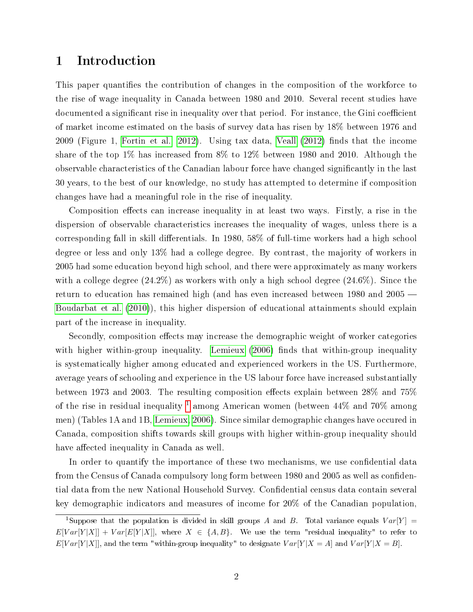# 1 Introduction

This paper quantifies the contribution of changes in the composition of the workforce to the rise of wage inequality in Canada between 1980 and 2010. Several recent studies have documented a significant rise in inequality over that period. For instance, the Gini coefficient of market income estimated on the basis of survey data has risen by 18% between 1976 and 2009 (Figure 1, [Fortin et al., 2012\)](#page-25-0). Using tax data, [Veall](#page-26-0)  $(2012)$  finds that the income share of the top 1% has increased from 8% to 12% between 1980 and 2010. Although the observable characteristics of the Canadian labour force have changed signicantly in the last 30 years, to the best of our knowledge, no study has attempted to determine if composition changes have had a meaningful role in the rise of inequality.

Composition effects can increase inequality in at least two ways. Firstly, a rise in the dispersion of observable characteristics increases the inequality of wages, unless there is a corresponding fall in skill differentials. In 1980,  $58\%$  of full-time workers had a high school degree or less and only 13% had a college degree. By contrast, the majority of workers in 2005 had some education beyond high school, and there were approximately as many workers with a college degree  $(24.2\%)$  as workers with only a high school degree  $(24.6\%)$ . Since the return to education has remained high (and has even increased between 1980 and 2005 [Boudarbat et al.](#page-25-1) [\(2010\)](#page-25-1)), this higher dispersion of educational attainments should explain part of the increase in inequality.

Secondly, composition effects may increase the demographic weight of worker categories with higher within-group inequality. [Lemieux](#page-25-2) [\(2006\)](#page-25-2) finds that within-group inequality is systematically higher among educated and experienced workers in the US. Furthermore, average years of schooling and experience in the US labour force have increased substantially between 1973 and 2003. The resulting composition effects explain between  $28\%$  and  $75\%$ of the rise in residual inequality <sup>[1](#page-3-0)</sup> among American women (between  $44\%$  and  $70\%$  among men) (Tables 1A and 1B, [Lemieux, 2006\)](#page-25-2). Since similar demographic changes have occured in Canada, composition shifts towards skill groups with higher within-group inequality should have affected inequality in Canada as well.

In order to quantify the importance of these two mechanisms, we use confidential data from the Census of Canada compulsory long form between 1980 and 2005 as well as confidential data from the new National Household Survey. Confidential census data contain several key demographic indicators and measures of income for 20% of the Canadian population,

<span id="page-3-0"></span><sup>&</sup>lt;sup>1</sup>Suppose that the population is divided in skill groups A and B. Total variance equals  $Var[Y] =$  $E[Var[Y|X]] + Var[E[Y|X]],$  where  $X \in \{A, B\}.$  We use the term "residual inequality" to refer to  $E[Var[Y|X]]$ , and the term "within-group inequality" to designate  $Var[Y|X = A]$  and  $Var[Y|X = B]$ .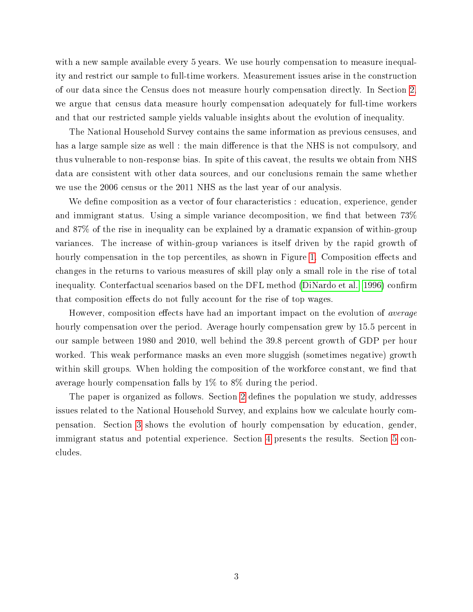with a new sample available every 5 years. We use hourly compensation to measure inequality and restrict our sample to full-time workers. Measurement issues arise in the construction of our data since the Census does not measure hourly compensation directly. In Section [2,](#page-5-0) we argue that census data measure hourly compensation adequately for full-time workers and that our restricted sample yields valuable insights about the evolution of inequality.

The National Household Survey contains the same information as previous censuses, and has a large sample size as well : the main difference is that the NHS is not compulsory, and thus vulnerable to non-response bias. In spite of this caveat, the results we obtain from NHS data are consistent with other data sources, and our conclusions remain the same whether we use the 2006 census or the 2011 NHS as the last year of our analysis.

We define composition as a vector of four characteristics : education, experience, gender and immigrant status. Using a simple variance decomposition, we find that between  $73\%$ and 87% of the rise in inequality can be explained by a dramatic expansion of within-group variances. The increase of within-group variances is itself driven by the rapid growth of hourly compensation in the top percentiles, as shown in Figure [1.](#page-5-1) Composition effects and changes in the returns to various measures of skill play only a small role in the rise of total inequality. Conterfactual scenarios based on the DFL method [\(DiNardo et al., 1996\)](#page-25-3) confirm that composition effects do not fully account for the rise of top wages.

However, composition effects have had an important impact on the evolution of *average* hourly compensation over the period. Average hourly compensation grew by 15.5 percent in our sample between 1980 and 2010, well behind the 39.8 percent growth of GDP per hour worked. This weak performance masks an even more sluggish (sometimes negative) growth within skill groups. When holding the composition of the workforce constant, we find that average hourly compensation falls by 1% to 8% during the period.

The paper is organized as follows. Section [2](#page-5-0) defines the population we study, addresses issues related to the National Household Survey, and explains how we calculate hourly compensation. Section [3](#page-9-0) shows the evolution of hourly compensation by education, gender, immigrant status and potential experience. Section [4](#page-16-0) presents the results. Section [5](#page-24-0) concludes.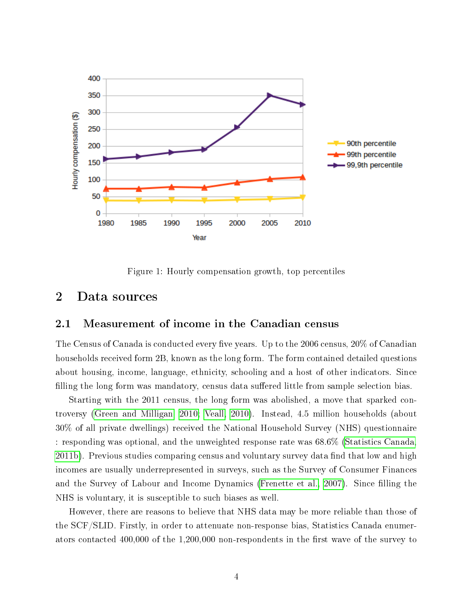

<span id="page-5-1"></span>Figure 1: Hourly compensation growth, top percentiles

# <span id="page-5-0"></span>2 Data sources

#### 2.1 Measurement of income in the Canadian census

The Census of Canada is conducted every five years. Up to the 2006 census,  $20\%$  of Canadian households received form 2B, known as the long form. The form contained detailed questions about housing, income, language, ethnicity, schooling and a host of other indicators. Since filling the long form was mandatory, census data suffered little from sample selection bias.

Starting with the 2011 census, the long form was abolished, a move that sparked controversy [\(Green and Milligan, 2010;](#page-25-4) [Veall, 2010\)](#page-26-1). Instead, 4.5 million households (about 30% of all private dwellings) received the National Household Survey (NHS) questionnaire : responding was optional, and the unweighted response rate was 68.6% [\(Statistics Canada,](#page-26-2) [2011b\)](#page-26-2). Previous studies comparing census and voluntary survey data find that low and high incomes are usually underrepresented in surveys, such as the Survey of Consumer Finances and the Survey of Labour and Income Dynamics [\(Frenette et al., 2007\)](#page-25-5). Since filling the NHS is voluntary, it is susceptible to such biases as well.

However, there are reasons to believe that NHS data may be more reliable than those of the SCF/SLID. Firstly, in order to attenuate non-response bias, Statistics Canada enumerators contacted  $400,000$  of the 1,200,000 non-respondents in the first wave of the survey to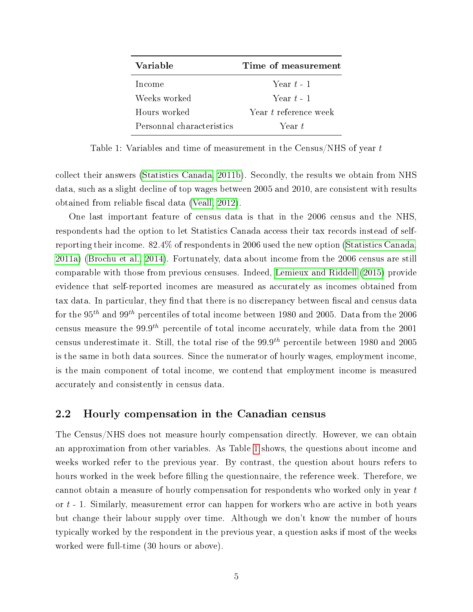| Variable                  | Time of measurement   |
|---------------------------|-----------------------|
| Income                    | Year $t-1$            |
| Weeks worked              | Year $t-1$            |
| Hours worked              | Year t reference week |
| Personnal characteristics | Year <i>t</i>         |

<span id="page-6-0"></span>Table 1: Variables and time of measurement in the Census/NHS of year t

collect their answers [\(Statistics Canada, 2011b\)](#page-26-2). Secondly, the results we obtain from NHS data, such as a slight decline of top wages between 2005 and 2010, are consistent with results obtained from reliable fiscal data [\(Veall, 2012\)](#page-26-0).

One last important feature of census data is that in the 2006 census and the NHS, respondents had the option to let Statistics Canada access their tax records instead of selfreporting their income. 82.4% of respondents in 2006 used the new option [\(Statistics Canada,](#page-26-3) [2011a\)](#page-26-3) [\(Brochu et al., 2014\)](#page-25-6). Fortunately, data about income from the 2006 census are still comparable with those from previous censuses. Indeed, [Lemieux and Riddell](#page-25-7) [\(2015\)](#page-25-7) provide evidence that self-reported incomes are measured as accurately as incomes obtained from tax data. In particular, they find that there is no discrepancy between fiscal and census data for the 95<sup>th</sup> and 99<sup>th</sup> percentiles of total income between 1980 and 2005. Data from the 2006 census measure the 99.9<sup>th</sup> percentile of total income accurately, while data from the 2001 census underestimate it. Still, the total rise of the  $99.9<sup>th</sup>$  percentile between 1980 and 2005 is the same in both data sources. Since the numerator of hourly wages, employment income, is the main component of total income, we contend that employment income is measured accurately and consistently in census data.

#### 2.2 Hourly compensation in the Canadian census

The Census/NHS does not measure hourly compensation directly. However, we can obtain an approximation from other variables. As Table [1](#page-6-0) shows, the questions about income and weeks worked refer to the previous year. By contrast, the question about hours refers to hours worked in the week before filling the questionnaire, the reference week. Therefore, we cannot obtain a measure of hourly compensation for respondents who worked only in year t or t - 1. Similarly, measurement error can happen for workers who are active in both years but change their labour supply over time. Although we don't know the number of hours typically worked by the respondent in the previous year, a question asks if most of the weeks worked were full-time (30 hours or above).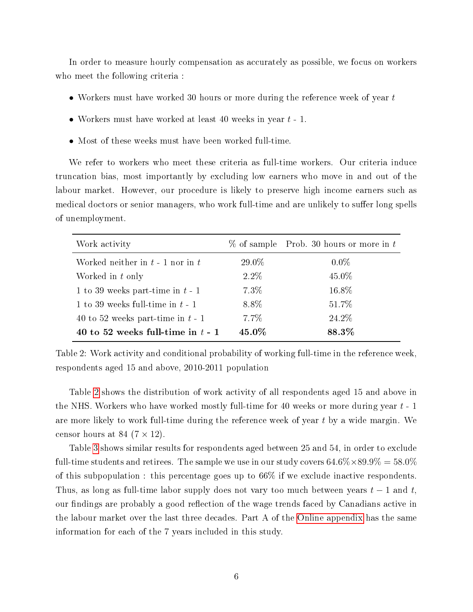In order to measure hourly compensation as accurately as possible, we focus on workers who meet the following criteria :

- Workers must have worked 30 hours or more during the reference week of year t
- Workers must have worked at least 40 weeks in year  $t 1$ .
- Most of these weeks must have been worked full-time.

We refer to workers who meet these criteria as full-time workers. Our criteria induce truncation bias, most importantly by excluding low earners who move in and out of the labour market. However, our procedure is likely to preserve high income earners such as medical doctors or senior managers, who work full-time and are unlikely to suffer long spells of unemployment.

| Work activity                        |         | $\%$ of sample Prob. 30 hours or more in t |
|--------------------------------------|---------|--------------------------------------------|
| Worked neither in $t - 1$ nor in $t$ | 29.0%   | $0.0\%$                                    |
| Worked in t only                     | $2.2\%$ | 45.0%                                      |
| 1 to 39 weeks part-time in $t-1$     | $7.3\%$ | 16.8%                                      |
| 1 to 39 weeks full-time in $t-1$     | 8.8%    | 51.7%                                      |
| 40 to 52 weeks part-time in $t-1$    | $7.7\%$ | 24.2%                                      |
| 40 to 52 weeks full-time in $t - 1$  | 45.0%   | 88.3%                                      |

<span id="page-7-0"></span>Table 2: Work activity and conditional probability of working full-time in the reference week, respondents aged 15 and above, 2010-2011 population

Table [2](#page-7-0) shows the distribution of work activity of all respondents aged 15 and above in the NHS. Workers who have worked mostly full-time for 40 weeks or more during year  $t - 1$ are more likely to work full-time during the reference week of year  $t$  by a wide margin. We censor hours at 84  $(7 \times 12)$ .

Table [3](#page-8-0) shows similar results for respondents aged between 25 and 54, in order to exclude full-time students and retirees. The sample we use in our study covers  $64.6\% \times 89.9\% = 58.0\%$ of this subpopulation : this percentage goes up to 66% if we exclude inactive respondents. Thus, as long as full-time labor supply does not vary too much between years  $t-1$  and  $t$ , our findings are probably a good reflection of the wage trends faced by Canadians active in the labour market over the last three decades. Part A of the [Online appendix](#page-26-4) has the same information for each of the 7 years included in this study.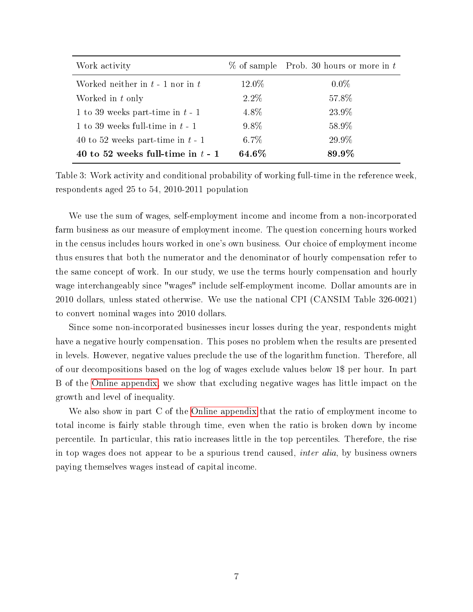| Work activity                        |         | $\%$ of sample Prob. 30 hours or more in t |
|--------------------------------------|---------|--------------------------------------------|
| Worked neither in $t - 1$ nor in $t$ | 12.0\%  | $0.0\%$                                    |
| Worked in t only                     | $2.2\%$ | 57.8%                                      |
| 1 to 39 weeks part-time in $t - 1$   | 4.8%    | 23.9%                                      |
| 1 to 39 weeks full-time in $t-1$     | $9.8\%$ | 58.9%                                      |
| 40 to 52 weeks part-time in $t-1$    | $6.7\%$ | 29.9%                                      |
| 40 to 52 weeks full-time in $t - 1$  | 64.6%   | 89.9%                                      |

<span id="page-8-0"></span>Table 3: Work activity and conditional probability of working full-time in the reference week, respondents aged 25 to 54, 2010-2011 population

We use the sum of wages, self-employment income and income from a non-incorporated farm business as our measure of employment income. The question concerning hours worked in the census includes hours worked in one's own business. Our choice of employment income thus ensures that both the numerator and the denominator of hourly compensation refer to the same concept of work. In our study, we use the terms hourly compensation and hourly wage interchangeably since "wages" include self-employment income. Dollar amounts are in 2010 dollars, unless stated otherwise. We use the national CPI (CANSIM Table 326-0021) to convert nominal wages into 2010 dollars.

Since some non-incorporated businesses incur losses during the year, respondents might have a negative hourly compensation. This poses no problem when the results are presented in levels. However, negative values preclude the use of the logarithm function. Therefore, all of our decompositions based on the log of wages exclude values below 1\$ per hour. In part B of the [Online appendix,](#page-26-4) we show that excluding negative wages has little impact on the growth and level of inequality.

We also show in part C of the [Online appendix](#page-26-4) that the ratio of employment income to total income is fairly stable through time, even when the ratio is broken down by income percentile. In particular, this ratio increases little in the top percentiles. Therefore, the rise in top wages does not appear to be a spurious trend caused, inter alia, by business owners paying themselves wages instead of capital income.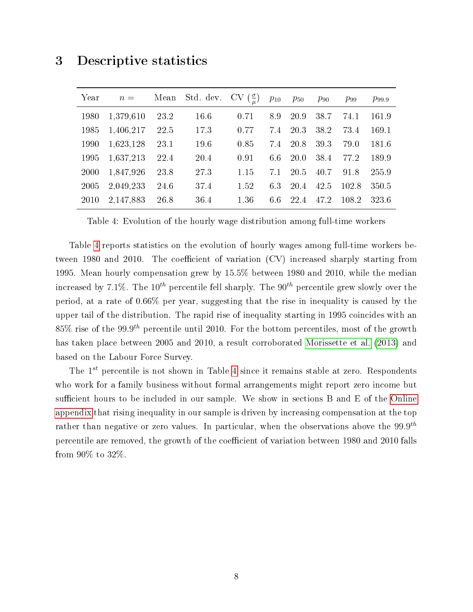# <span id="page-9-0"></span>3 Descriptive statistics

| Year | $n =$     | Mean | Std. dev. CV $(\frac{\sigma}{u})$ |      | $p_{10}$ | $p_{50}$    | $p_{90}$ | $p_{99}$ | $p_{99.9}$ |
|------|-----------|------|-----------------------------------|------|----------|-------------|----------|----------|------------|
| 1980 | 1,379,610 | 23.2 | 16.6                              | 0.71 | 8.9      | 20.9        | 38.7     | 74.1     | 161.9      |
| 1985 | 1,406,217 | 22.5 | 17.3                              | 0.77 | 7.4      | 20.3        | 38.2     | 73.4     | 169.1      |
| 1990 | 1,623,128 | 23.1 | 19.6                              | 0.85 | 7.4      | 20.8        | 39.3     | 79.0     | 181.6      |
| 1995 | 1,637,213 | 22.4 | 20.4                              | 0.91 | 6.6      | <b>20.0</b> | 38.4     | 77.2     | 189.9      |
| 2000 | 1,847,926 | 23.8 | 27.3                              | 1.15 | 7.1      | 20.5        | 40.7     | 91.8     | 255.9      |
| 2005 | 2,049,233 | 24.6 | 37.4                              | 1.52 | 6.3      | 20.4        | 42.5     | 102.8    | 350.5      |
| 2010 | 2,147,883 | 26.8 | 36.4                              | 1.36 | 6.6      | 22.4        | 47.2     | 108.2    | 323.6      |

<span id="page-9-1"></span>Table 4: Evolution of the hourly wage distribution among full-time workers

Table [4](#page-9-1) reports statistics on the evolution of hourly wages among full-time workers between 1980 and 2010. The coefficient of variation  $(CV)$  increased sharply starting from 1995. Mean hourly compensation grew by 15.5% between 1980 and 2010, while the median increased by 7.1%. The  $10^{th}$  percentile fell sharply. The  $90^{th}$  percentile grew slowly over the period, at a rate of 0.66% per year, suggesting that the rise in inequality is caused by the upper tail of the distribution. The rapid rise of inequality starting in 1995 coincides with an 85% rise of the 99.9<sup>th</sup> percentile until 2010. For the bottom percentiles, most of the growth has taken place between 2005 and 2010, a result corroborated [Morissette et al.](#page-25-8) [\(2013\)](#page-25-8) and based on the Labour Force Survey.

The  $1^{st}$  percentile is not shown in Table [4](#page-9-1) since it remains stable at zero. Respondents who work for a family business without formal arrangements might report zero income but sufficient hours to be included in our sample. We show in sections  $B$  and  $E$  of the [Online](#page-26-4) [appendix](#page-26-4) that rising inequality in our sample is driven by increasing compensation at the top rather than negative or zero values. In particular, when the observations above the  $99.9^{th}$ percentile are removed, the growth of the coefficient of variation between 1980 and 2010 falls from 90% to 32%.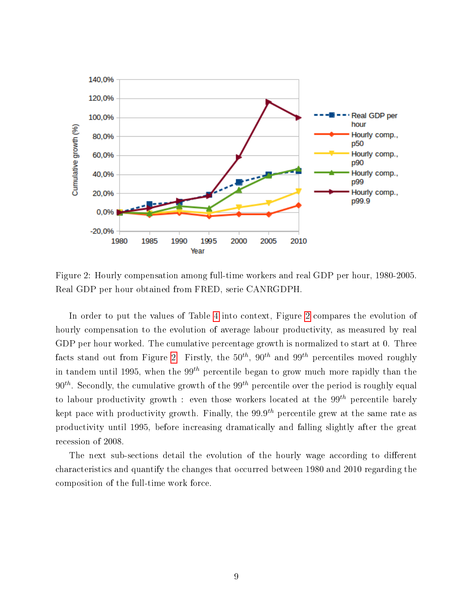

<span id="page-10-0"></span>Figure 2: Hourly compensation among full-time workers and real GDP per hour, 1980-2005. Real GDP per hour obtained from FRED, serie CANRGDPH.

In order to put the values of Table [4](#page-9-1) into context, Figure [2](#page-10-0) compares the evolution of hourly compensation to the evolution of average labour productivity, as measured by real GDP per hour worked. The cumulative percentage growth is normalized to start at 0. Three facts stand out from Figure [2.](#page-10-0) Firstly, the  $50^{th}$ ,  $90^{th}$  and  $99^{th}$  percentiles moved roughly in tandem until 1995, when the 99<sup>th</sup> percentile began to grow much more rapidly than the  $90<sup>th</sup>$ . Secondly, the cumulative growth of the  $99<sup>th</sup>$  percentile over the period is roughly equal to labour productivity growth : even those workers located at the  $99^{th}$  percentile barely kept pace with productivity growth. Finally, the  $99.9^{th}$  percentile grew at the same rate as productivity until 1995, before increasing dramatically and falling slightly after the great recession of 2008.

The next sub-sections detail the evolution of the hourly wage according to different characteristics and quantify the changes that occurred between 1980 and 2010 regarding the composition of the full-time work force.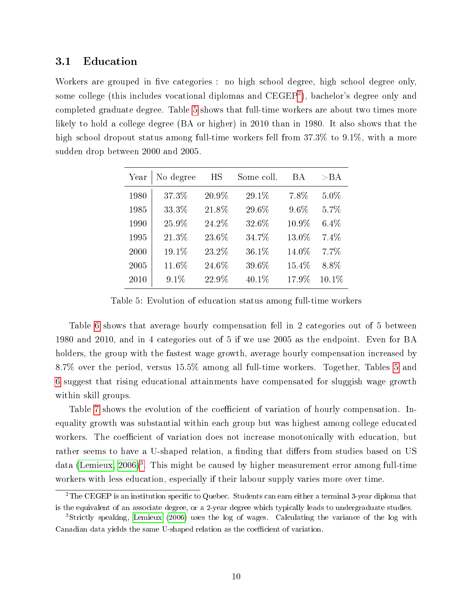#### 3.1 Education

Workers are grouped in five categories : no high school degree, high school degree only, some college (this includes vocational diplomas and  ${\rm CEGEP^2}$  ${\rm CEGEP^2}$  ${\rm CEGEP^2}$ ), bachelor's degree only and completed graduate degree. Table [5](#page-11-1) shows that full-time workers are about two times more likely to hold a college degree (BA or higher) in 2010 than in 1980. It also shows that the high school dropout status among full-time workers fell from 37.3% to 9.1%, with a more sudden drop between 2000 and 2005.

| Year | No degree | ΗS    | Some coll. | ВA    | $>_{\rm BAA}$ |
|------|-----------|-------|------------|-------|---------------|
| 1980 | 37.3%     | 20.9% | 29.1%      | 7.8%  | $5.0\%$       |
| 1985 | 33.3%     | 21.8% | 29.6%      | 9.6%  | 5.7%          |
| 1990 | 25.9%     | 24.2% | 32.6%      | 10.9% | $6.4\%$       |
| 1995 | 21.3%     | 23.6% | 34.7%      | 13.0% | 7.4%          |
| 2000 | 19.1%     | 23.2% | 36.1%      | 14.0% | 7.7%          |
| 2005 | 11.6%     | 24.6% | 39.6%      | 15.4% | 8.8%          |
| 2010 | 9.1%      | 22.9% | 40.1%      | 17.9% | 10.1%         |

<span id="page-11-1"></span>Table 5: Evolution of education status among full-time workers

Table [6](#page-12-0) shows that average hourly compensation fell in 2 categories out of 5 between 1980 and 2010, and in 4 categories out of 5 if we use 2005 as the endpoint. Even for BA holders, the group with the fastest wage growth, average hourly compensation increased by 8.7% over the period, versus 15.5% among all full-time workers. Together, Tables [5](#page-11-1) and [6](#page-12-0) suggest that rising educational attainments have compensated for sluggish wage growth within skill groups.

Table [7](#page-12-1) shows the evolution of the coefficient of variation of hourly compensation. Inequality growth was substantial within each group but was highest among college educated workers. The coefficient of variation does not increase monotonically with education, but rather seems to have a U-shaped relation, a finding that differs from studies based on US data [\(Lemieux, 2006\)](#page-25-2)<sup>[3](#page-11-2)</sup>. This might be caused by higher measurement error among full-time workers with less education, especially if their labour supply varies more over time.

<span id="page-11-0"></span><sup>&</sup>lt;sup>2</sup>The CEGEP is an institution specific to Quebec. Students can earn either a terminal 3-year diploma that is the equivalent of an associate degree, or a 2-year degree which typically leads to undergraduate studies.

<span id="page-11-2"></span><sup>3</sup>Strictly speaking, [Lemieux](#page-25-2) [\(2006\)](#page-25-2) uses the log of wages. Calculating the variance of the log with Canadian data yields the same U-shaped relation as the coefficient of variation.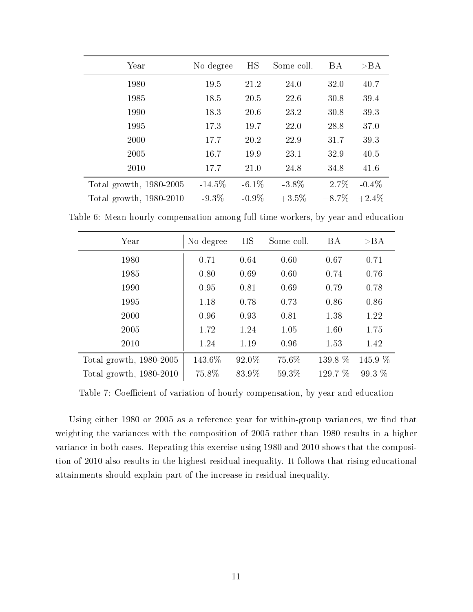| Year                    | No degree | HS       | Some coll. | BA       | >BA      |
|-------------------------|-----------|----------|------------|----------|----------|
| 1980                    | 19.5      | 21.2     | 24.0       | 32.0     | 40.7     |
| 1985                    | 18.5      | 20.5     | 22.6       | 30.8     | 39.4     |
| 1990                    | 18.3      | 20.6     | 23.2       | 30.8     | 39.3     |
| 1995                    | 17.3      | 19.7     | 22.0       | 28.8     | 37.0     |
| 2000                    | 17.7      | 20.2     | 22.9       | 31.7     | 39.3     |
| 2005                    | 16.7      | 19.9     | 23.1       | 32.9     | 40.5     |
| 2010                    | 17.7      | 21.0     | 24.8       | 34.8     | 41.6     |
| Total growth, 1980-2005 | $-14.5\%$ | $-6.1\%$ | $-3.8\%$   | $+2.7\%$ | $-0.4\%$ |
| Total growth, 1980-2010 | $-9.3\%$  | $-0.9\%$ | $+3.5\%$   | $+8.7\%$ | $+2.4\%$ |

Table 6: Mean hourly compensation among full-time workers, by year and education

<span id="page-12-0"></span>

| Year                    | No degree | HS    | Some coll. | <b>BA</b> | >BA      |
|-------------------------|-----------|-------|------------|-----------|----------|
| 1980                    | 0.71      | 0.64  | 0.60       | 0.67      | 0.71     |
| 1985                    | 0.80      | 0.69  | 0.60       | 0.74      | 0.76     |
| 1990                    | 0.95      | 0.81  | 0.69       | 0.79      | 0.78     |
| 1995                    | 1.18      | 0.78  | 0.73       | 0.86      | 0.86     |
| 2000                    | 0.96      | 0.93  | 0.81       | 1.38      | 1.22     |
| 2005                    | 1.72      | 1.24  | 1.05       | 1.60      | 1.75     |
| 2010                    | 1.24      | 1.19  | 0.96       | 1.53      | 1.42     |
| Total growth, 1980-2005 | 143.6%    | 92.0% | 75.6%      | 139.8 %   | 145.9 %  |
| Total growth, 1980-2010 | 75.8%     | 83.9% | 59.3%      | 129.7 %   | $99.3\%$ |

<span id="page-12-1"></span>Table 7: Coefficient of variation of hourly compensation, by year and education

Using either 1980 or 2005 as a reference year for within-group variances, we find that weighting the variances with the composition of 2005 rather than 1980 results in a higher variance in both cases. Repeating this exercise using 1980 and 2010 shows that the composition of 2010 also results in the highest residual inequality. It follows that rising educational attainments should explain part of the increase in residual inequality.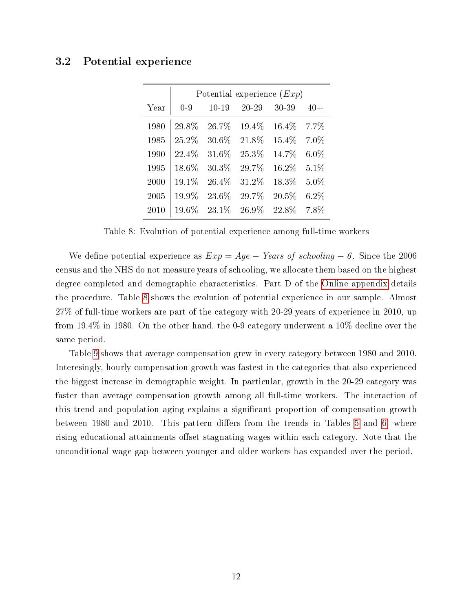#### 3.2 Potential experience

|      | Potential experience $(Exp)$ |           |           |           |         |  |  |  |
|------|------------------------------|-----------|-----------|-----------|---------|--|--|--|
| Year | $0-9$                        | $10 - 19$ | $20 - 29$ | $30 - 39$ | $40+$   |  |  |  |
| 1980 | 29.8%                        | 26.7%     | 19.4%     | $16.4\%$  | $7.7\%$ |  |  |  |
| 1985 | 25.2%                        | 30.6%     | 21.8%     | 15.4\%    | $7.0\%$ |  |  |  |
| 1990 | 22.4%                        | 31.6%     | 25.3%     | 14.7%     | $6.0\%$ |  |  |  |
| 1995 | 18.6%                        | 30.3%     | 29.7%     | 16.2%     | 5.1%    |  |  |  |
| 2000 | 19.1%                        | 26.4%     | 31.2%     | 18.3%     | $5.0\%$ |  |  |  |
| 2005 | 19.9%                        | 23.6%     | 29.7%     | 20.5%     | $6.2\%$ |  |  |  |
| 2010 | 19.6%                        | 23.1\%    | 26.9%     | 22.8%     | 7.8%    |  |  |  |

<span id="page-13-0"></span>Table 8: Evolution of potential experience among full-time workers

We define potential experience as  $Exp = Age - Years$  of schooling  $-6$ . Since the 2006 census and the NHS do not measure years of schooling, we allocate them based on the highest degree completed and demographic characteristics. Part D of the [Online appendix](#page-26-4) details the procedure. Table [8](#page-13-0) shows the evolution of potential experience in our sample. Almost 27% of full-time workers are part of the category with 20-29 years of experience in 2010, up from 19.4% in 1980. On the other hand, the 0-9 category underwent a 10% decline over the same period.

Table [9](#page-14-0) shows that average compensation grew in every category between 1980 and 2010. Interesingly, hourly compensation growth was fastest in the categories that also experienced the biggest increase in demographic weight. In particular, growth in the 20-29 category was faster than average compensation growth among all full-time workers. The interaction of this trend and population aging explains a signicant proportion of compensation growth between 1980 and 2010. This pattern differs from the trends in Tables [5](#page-11-1) and [6,](#page-12-0) where rising educational attainments offset stagnating wages within each category. Note that the unconditional wage gap between younger and older workers has expanded over the period.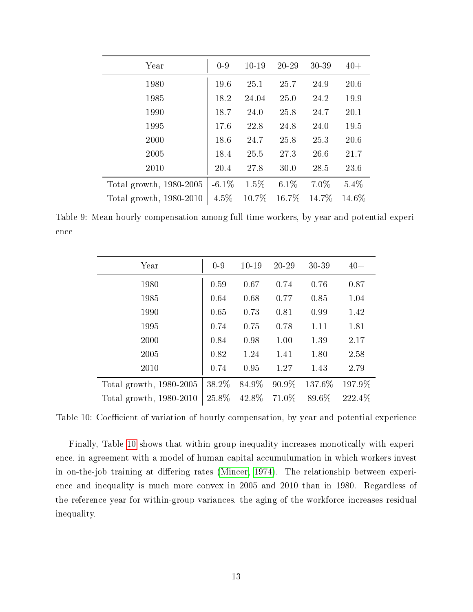| Year                      | $0 - 9$  | $10-19$ | $20 - 29$ | 30-39  | $40 +$ |
|---------------------------|----------|---------|-----------|--------|--------|
| 1980                      | 19.6     | 25.1    | 25.7      | 24.9   | 20.6   |
| 1985                      | 18.2     | 24.04   | 25.0      | 24.2   | 19.9   |
| 1990                      | 18.7     | 24.0    | 25.8      | 24.7   | 20.1   |
| 1995                      | 17.6     | 22.8    | 24.8      | 24.0   | 19.5   |
| 2000                      | 18.6     | 24.7    | 25.8      | 25.3   | 20.6   |
| 2005                      | 18.4     | 25.5    | 27.3      | 26.6   | 21.7   |
| 2010                      | 20.4     | 27.8    | 30.0      | 28.5   | 23.6   |
| Total growth, $1980-2005$ | $-6.1\%$ | 1.5%    | $6.1\%$   | 7.0%   | 5.4%   |
| Total growth, $1980-2010$ | $4.5\%$  | 10.7%   | $16.7\%$  | 14.7\% | 14.6\% |

<span id="page-14-0"></span>Table 9: Mean hourly compensation among full-time workers, by year and potential experience

| Year                    | $0-9$ | $10 - 19$ | $20 - 29$ | 30-39  | $40+$  |
|-------------------------|-------|-----------|-----------|--------|--------|
| 1980                    | 0.59  | 0.67      | 0.74      | 0.76   | 0.87   |
| 1985                    | 0.64  | 0.68      | 0.77      | 0.85   | 1.04   |
| 1990                    | 0.65  | 0.73      | 0.81      | 0.99   | 1.42   |
| 1995                    | 0.74  | 0.75      | 0.78      | 1.11   | 1.81   |
| 2000                    | 0.84  | 0.98      | 1.00      | 1.39   | 2.17   |
| 2005                    | 0.82  | 1.24      | 1.41      | 1.80   | 2.58   |
| 2010                    | 0.74  | 0.95      | 1.27      | 1.43   | 2.79   |
| Total growth, 1980-2005 | 38.2% | 84.9%     | 90.9%     | 137.6% | 197.9% |
| Total growth, 1980-2010 | 25.8% | 42.8%     | 71.0\%    | 89.6%  | 222.4% |

<span id="page-14-1"></span>Table 10: Coefficient of variation of hourly compensation, by year and potential experience

Finally, Table [10](#page-14-1) shows that within-group inequality increases monotically with experience, in agreement with a model of human capital accumulumation in which workers invest in on-the-job training at differing rates [\(Mincer, 1974\)](#page-25-9). The relationship between experience and inequality is much more convex in 2005 and 2010 than in 1980. Regardless of the reference year for within-group variances, the aging of the workforce increases residual inequality.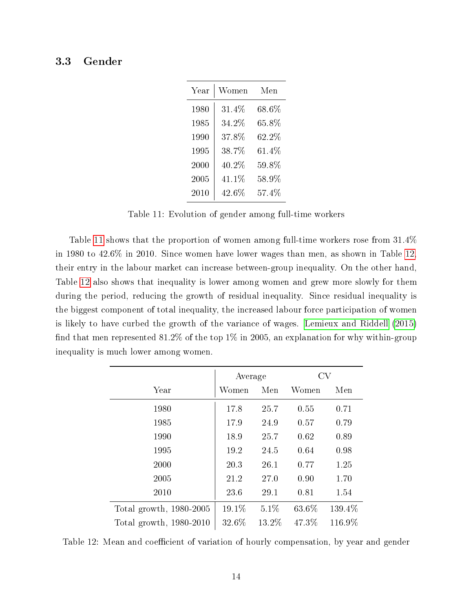#### 3.3 Gender

| Year | Women    | Men      |
|------|----------|----------|
| 1980 | $31.4\%$ | $68.6\%$ |
| 1985 | $34.2\%$ | $65.8\%$ |
| 1990 | 37.8%    | $62.2\%$ |
| 1995 | 38.7%    | $61.4\%$ |
| 2000 | $40.2\%$ | $59.8\%$ |
| 2005 | 41.1%    | $58.9\%$ |
| 2010 | $42.6\%$ | $57.4\%$ |

<span id="page-15-0"></span>Table 11: Evolution of gender among full-time workers

Table [11](#page-15-0) shows that the proportion of women among full-time workers rose from 31.4% in 1980 to 42.6% in 2010. Since women have lower wages than men, as shown in Table [12,](#page-15-1) their entry in the labour market can increase between-group inequality. On the other hand, Table [12](#page-15-1) also shows that inequality is lower among women and grew more slowly for them during the period, reducing the growth of residual inequality. Since residual inequality is the biggest component of total inequality, the increased labour force participation of women is likely to have curbed the growth of the variance of wages. [Lemieux and Riddell](#page-25-7) [\(2015\)](#page-25-7) find that men represented 81.2% of the top 1% in 2005, an explanation for why within-group inequality is much lower among women.

|                         | Average  |        | CV    |        |
|-------------------------|----------|--------|-------|--------|
| Year                    | Women    | Men    | Women | Men    |
| 1980                    | 17.8     | 25.7   | 0.55  | 0.71   |
| 1985                    | 17.9     | 24.9   | 0.57  | 0.79   |
| 1990                    | 18.9     | 25.7   | 0.62  | 0.89   |
| 1995                    | 19.2     | 24.5   | 0.64  | 0.98   |
| 2000                    | 20.3     | 26.1   | 0.77  | 1.25   |
| 2005                    | 21.2     | 27.0   | 0.90  | 1.70   |
| 2010                    | 23.6     | 29.1   | 0.81  | 1.54   |
| Total growth, 1980-2005 | $19.1\%$ | 5.1%   | 63.6% | 139.4% |
| Total growth, 1980-2010 | 32.6%    | 13.2\% | 47.3% | 116.9% |

<span id="page-15-1"></span>Table 12: Mean and coefficient of variation of hourly compensation, by year and gender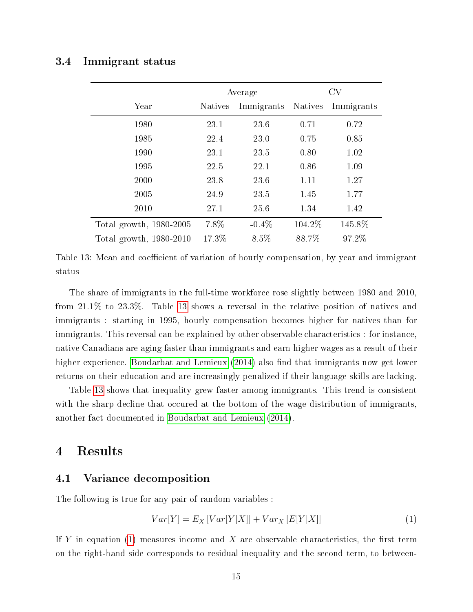#### 3.4 Immigrant status

|                         | Average        |                    | CV      |            |
|-------------------------|----------------|--------------------|---------|------------|
| Year                    | <b>Natives</b> | Immigrants Natives |         | Immigrants |
| 1980                    | 23.1           | 23.6               | 0.71    | 0.72       |
| 1985                    | 22.4           | 23.0               | 0.75    | 0.85       |
| 1990                    | 23.1           | 23.5               | 0.80    | 1.02       |
| 1995                    | 22.5           | 22.1               | 0.86    | 1.09       |
| 2000                    | 23.8           | 23.6               | 1.11    | 1.27       |
| 2005                    | 24.9           | 23.5               | 1.45    | 1.77       |
| 2010                    | 27.1           | 25.6               | 1.34    | 1.42       |
| Total growth, 1980-2005 | $7.8\%$        | $-0.4\%$           | 104.2\% | 145.8%     |
| Total growth, 1980-2010 | 17.3%          | $8.5\%$            | 88.7%   | 97.2%      |

<span id="page-16-1"></span>Table 13: Mean and coefficient of variation of hourly compensation, by year and immigrant status

The share of immigrants in the full-time workforce rose slightly between 1980 and 2010, from 21.1% to 23.3%. Table [13](#page-16-1) shows a reversal in the relative position of natives and immigrants : starting in 1995, hourly compensation becomes higher for natives than for immigrants. This reversal can be explained by other observable characteristics : for instance, native Canadians are aging faster than immigrants and earn higher wages as a result of their higher experience. [Boudarbat and Lemieux](#page-25-10)  $(2014)$  also find that immigrants now get lower returns on their education and are increasingly penalized if their language skills are lacking.

Table [13](#page-16-1) shows that inequality grew faster among immigrants. This trend is consistent with the sharp decline that occured at the bottom of the wage distribution of immigrants. another fact documented in [Boudarbat and Lemieux](#page-25-10) [\(2014\)](#page-25-10).

# <span id="page-16-0"></span>4 Results

#### <span id="page-16-3"></span>4.1 Variance decomposition

The following is true for any pair of random variables :

<span id="page-16-2"></span>
$$
Var[Y] = E_X \left[ Var[Y|X] \right] + Var_X \left[ E[Y|X] \right] \tag{1}
$$

If Y in equation [\(1\)](#page-16-2) measures income and X are observable characteristics, the first term on the right-hand side corresponds to residual inequality and the second term, to between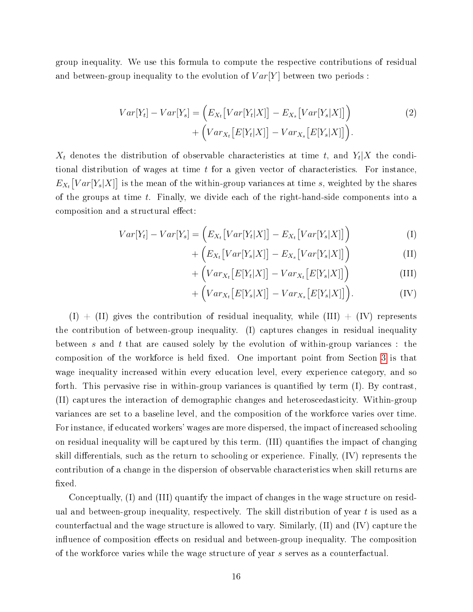group inequality. We use this formula to compute the respective contributions of residual and between-group inequality to the evolution of  $Var[Y]$  between two periods:

$$
Var[Y_t] - Var[Y_s] = (E_{X_t}[Var[Y_t|X]] - E_{X_s}[Var[Y_s|X]])
$$
  
+ 
$$
(Var_{X_t}[E[Y_t|X]] - Var_{X_s}[E[Y_s|X]]).
$$
 (2)

 $X_t$  denotes the distribution of observable characteristics at time t, and  $Y_t|X$  the conditional distribution of wages at time  $t$  for a given vector of characteristics. For instance,  $E_{X_t}\big[Var[Y_s|X]\big]$  is the mean of the within-group variances at time s, weighted by the shares of the groups at time  $t$ . Finally, we divide each of the right-hand-side components into a composition and a structural effect:

$$
Var[Y_t] - Var[Y_s] = \left( E_{X_t} \left[ Var[Y_t|X] \right] - E_{X_t} \left[ Var[Y_s|X] \right] \right) \tag{I}
$$

$$
+\left(E_{X_t}\big[Var[Y_s|X]\big] - E_{X_s}\big[Var[Y_s|X]\big]\right) \tag{II}
$$

$$
+\left( Var_{X_t}\left[E[Y_t|X]\right] - Var_{X_t}\left[E[Y_s|X]\right]\right) \tag{III}
$$

$$
+\left( Var_{X_{t}}\big[E[Y_{s}|X]\big] - Var_{X_{s}}\big[E[Y_{s}|X]\big]\right). \tag{IV}
$$

 $(1) + (II)$  gives the contribution of residual inequality, while  $(III) + (IV)$  represents the contribution of between-group inequality. (I) captures changes in residual inequality between s and t that are caused solely by the evolution of within-group variances : the composition of the workforce is held fixed. One important point from Section [3](#page-9-0) is that wage inequality increased within every education level, every experience category, and so forth. This pervasive rise in within-group variances is quantified by term  $(I)$ . By contrast, (II) captures the interaction of demographic changes and heteroscedasticity. Within-group variances are set to a baseline level, and the composition of the workforce varies over time. For instance, if educated workers' wages are more dispersed, the impact of increased schooling on residual inequality will be captured by this term. (III) quantifies the impact of changing skill differentials, such as the return to schooling or experience. Finally,  $(IV)$  represents the contribution of a change in the dispersion of observable characteristics when skill returns are fixed.

Conceptually, (I) and (III) quantify the impact of changes in the wage structure on residual and between-group inequality, respectively. The skill distribution of year  $t$  is used as a counterfactual and the wage structure is allowed to vary. Similarly, (II) and (IV) capture the influence of composition effects on residual and between-group inequality. The composition of the workforce varies while the wage structure of year s serves as a counterfactual.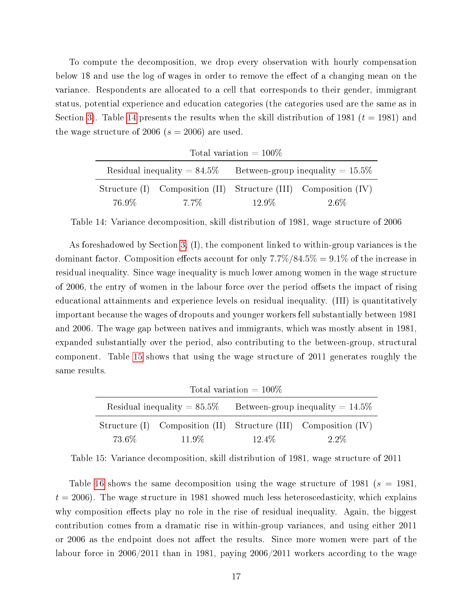To compute the decomposition, we drop every observation with hourly compensation below 1\$ and use the log of wages in order to remove the effect of a changing mean on the variance. Respondents are allocated to a cell that corresponds to their gender, immigrant status, potential experience and education categories (the categories used are the same as in Section [3\)](#page-9-0). Table [14](#page-18-0) presents the results when the skill distribution of 1981 ( $t = 1981$ ) and the wage structure of 2006 ( $s = 2006$ ) are used.

| Total variation $=100\%$ |      |                                                                    |                                                                 |  |
|--------------------------|------|--------------------------------------------------------------------|-----------------------------------------------------------------|--|
|                          |      | Residual inequality $= 84.5\%$ Between-group inequality $= 15.5\%$ |                                                                 |  |
|                          |      |                                                                    | Structure (I) Composition (II) Structure (III) Composition (IV) |  |
| 76.9%                    | 7.7% | 12.9%                                                              | 2.6%                                                            |  |

 $T_{\text{t-1}}$  is relation = 1000%

<span id="page-18-0"></span>Table 14: Variance decomposition, skill distribution of 1981, wage structure of 2006

As foreshadowed by Section [3,](#page-9-0) (I), the component linked to within-group variances is the dominant factor. Composition effects account for only  $7.7\%/84.5\% = 9.1\%$  of the increase in residual inequality. Since wage inequality is much lower among women in the wage structure of 2006, the entry of women in the labour force over the period offsets the impact of rising educational attainments and experience levels on residual inequality. (III) is quantitatively important because the wages of dropouts and younger workers fell substantially between 1981 and 2006. The wage gap between natives and immigrants, which was mostly absent in 1981, expanded substantially over the period, also contributing to the between-group, structural component. Table [15](#page-18-1) shows that using the wage structure of 2011 generates roughly the same results.

| Total variation = $100\%$      |        |                                     |                                                                 |  |
|--------------------------------|--------|-------------------------------------|-----------------------------------------------------------------|--|
| Residual inequality $= 85.5\%$ |        | Between-group inequality $= 14.5\%$ |                                                                 |  |
|                                |        |                                     | Structure (I) Composition (II) Structure (III) Composition (IV) |  |
| 73.6%                          | 11.9\% | 12.4\%                              | 2.2\%                                                           |  |

<span id="page-18-1"></span>Table 15: Variance decomposition, skill distribution of 1981, wage structure of 2011

Table [16](#page-19-0) shows the same decomposition using the wage structure of 1981 ( $s = 1981$ ,  $t = 2006$ ). The wage structure in 1981 showed much less heteroscedasticity, which explains why composition effects play no role in the rise of residual inequality. Again, the biggest contribution comes from a dramatic rise in within-group variances, and using either 2011 or 2006 as the endpoint does not affect the results. Since more women were part of the labour force in 2006/2011 than in 1981, paying 2006/2011 workers according to the wage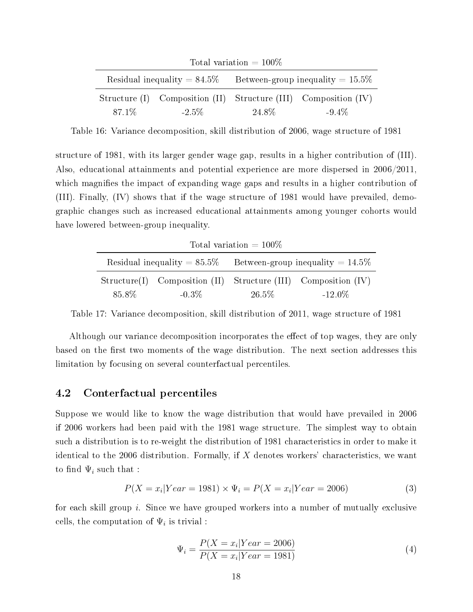| Total variation = $100\%$      |          |                                     |                                                                 |  |
|--------------------------------|----------|-------------------------------------|-----------------------------------------------------------------|--|
| Residual inequality $= 84.5\%$ |          | Between-group inequality $= 15.5\%$ |                                                                 |  |
|                                |          |                                     | Structure (I) Composition (II) Structure (III) Composition (IV) |  |
| 87.1\%                         | $-2.5\%$ | 24.8%                               | $-9.4\%$                                                        |  |

<span id="page-19-0"></span>Table 16: Variance decomposition, skill distribution of 2006, wage structure of 1981

structure of 1981, with its larger gender wage gap, results in a higher contribution of (III). Also, educational attainments and potential experience are more dispersed in 2006/2011, which magnifies the impact of expanding wage gaps and results in a higher contribution of (III). Finally, (IV) shows that if the wage structure of 1981 would have prevailed, demographic changes such as increased educational attainments among younger cohorts would have lowered between-group inequality.

| Total variation $= 100\%$ |          |                                                                    |                                                                |  |
|---------------------------|----------|--------------------------------------------------------------------|----------------------------------------------------------------|--|
|                           |          | Residual inequality $= 85.5\%$ Between-group inequality $= 14.5\%$ |                                                                |  |
|                           |          |                                                                    | Structure(I) Composition (II) Structure (III) Composition (IV) |  |
| 85.8%                     | $-0.3\%$ | 26.5%                                                              | $-12.0\%$                                                      |  |

Table 17: Variance decomposition, skill distribution of 2011, wage structure of 1981

Although our variance decomposition incorporates the effect of top wages, they are only based on the first two moments of the wage distribution. The next section addresses this limitation by focusing on several counterfactual percentiles.

#### <span id="page-19-2"></span>4.2 Conterfactual percentiles

Suppose we would like to know the wage distribution that would have prevailed in 2006 if 2006 workers had been paid with the 1981 wage structure. The simplest way to obtain such a distribution is to re-weight the distribution of 1981 characteristics in order to make it identical to the 2006 distribution. Formally, if  $X$  denotes workers' characteristics, we want to find  $\Psi_i$  such that :

$$
P(X = x_i | Year = 1981) \times \Psi_i = P(X = x_i | Year = 2006)
$$
\n(3)

for each skill group i. Since we have grouped workers into a number of mutually exclusive cells, the computation of  $\Psi_i$  is trivial :

<span id="page-19-1"></span>
$$
\Psi_i = \frac{P(X = x_i | Year = 2006)}{P(X = x_i | Year = 1981)}
$$
\n(4)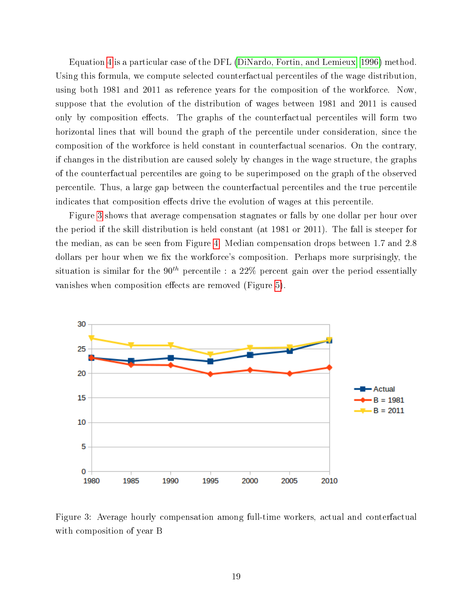Equation [4](#page-19-1) is a particular case of the DFL [\(DiNardo, Fortin, and Lemieux, 1996\)](#page-25-3) method. Using this formula, we compute selected counterfactual percentiles of the wage distribution, using both 1981 and 2011 as reference years for the composition of the workforce. Now, suppose that the evolution of the distribution of wages between 1981 and 2011 is caused only by composition effects. The graphs of the counterfactual percentiles will form two horizontal lines that will bound the graph of the percentile under consideration, since the composition of the workforce is held constant in counterfactual scenarios. On the contrary, if changes in the distribution are caused solely by changes in the wage structure, the graphs of the counterfactual percentiles are going to be superimposed on the graph of the observed percentile. Thus, a large gap between the counterfactual percentiles and the true percentile indicates that composition effects drive the evolution of wages at this percentile.

Figure [3](#page-20-0) shows that average compensation stagnates or falls by one dollar per hour over the period if the skill distribution is held constant (at 1981 or 2011). The fall is steeper for the median, as can be seen from Figure [4.](#page-21-0) Median compensation drops between 1.7 and 2.8 dollars per hour when we fix the workforce's composition. Perhaps more surprisingly, the situation is similar for the 90<sup>th</sup> percentile : a 22% percent gain over the period essentially vanishes when composition effects are removed (Figure [5\)](#page-21-1).



<span id="page-20-0"></span>Figure 3: Average hourly compensation among full-time workers, actual and conterfactual with composition of year B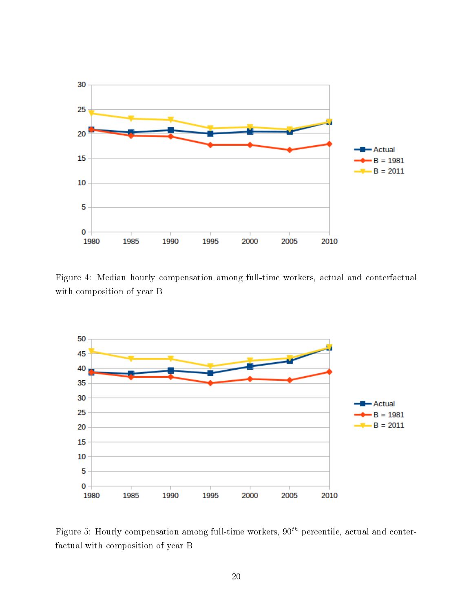

<span id="page-21-0"></span>Figure 4: Median hourly compensation among full-time workers, actual and conterfactual with composition of year B



<span id="page-21-1"></span>Figure 5: Hourly compensation among full-time workers,  $90<sup>th</sup>$  percentile, actual and conterfactual with composition of year B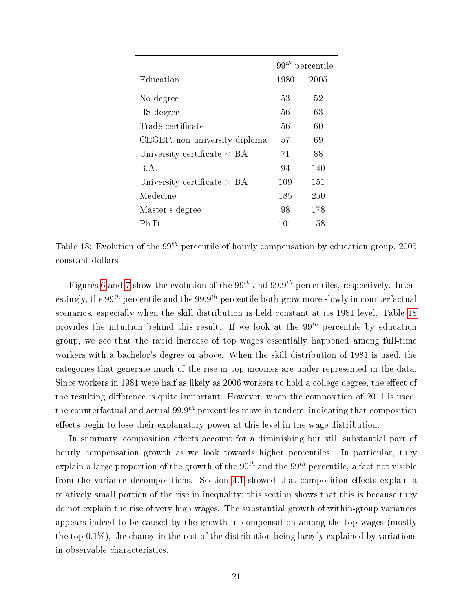|                                     | $99th$ percentile |      |
|-------------------------------------|-------------------|------|
| Education                           | 1980              | 2005 |
| No degree                           | 53                | 52   |
| HS degree                           | 56                | 63   |
| Trade certificate                   | 56                | 60   |
| CEGEP, non-university diploma       | 57                | 69   |
| University certificate $\langle$ BA | 71.               | 88   |
| B.A.                                | 94                | 140  |
| University certificate $> BA$       | 109               | 151  |
| Medecine                            | 185               | 250  |
| Master's degree                     | 98                | 178  |
| Ph.D.                               | 101               | 158  |

<span id="page-22-0"></span>Table 18: Evolution of the 99<sup>th</sup> percentile of hourly compensation by education group, 2005 constant dollars

Figures [6](#page-23-0) and [7](#page-23-1) show the evolution of the  $99^{th}$  and  $99.9^{th}$  percentiles, respectively. Interestingly, the 99<sup>th</sup> percentile and the 99.9<sup>th</sup> percentile both grow more slowly in counterfactual scenarios, especially when the skill distribution is held constant at its 1981 level. Table [18](#page-22-0) provides the intuition behind this result. If we look at the  $99<sup>th</sup>$  percentile by education group, we see that the rapid increase of top wages essentially happened among full-time workers with a bachelor's degree or above. When the skill distribution of 1981 is used, the categories that generate much of the rise in top incomes are under-represented in the data. Since workers in 1981 were half as likely as 2006 workers to hold a college degree, the effect of the resulting difference is quite important. However, when the composition of 2011 is used, the counterfactual and actual  $99.9<sup>th</sup>$  percentiles move in tandem, indicating that composition effects begin to lose their explanatory power at this level in the wage distribution.

In summary, composition effects account for a diminishing but still substantial part of hourly compensation growth as we look towards higher percentiles. In particular, they explain a large proportion of the growth of the  $90<sup>th</sup>$  and the  $99<sup>th</sup>$  percentile, a fact not visible from the variance decompositions. Section [4.1](#page-16-3) showed that composition effects explain a relatively small portion of the rise in inequality; this section shows that this is because they do not explain the rise of very high wages. The substantial growth of within-group variances appears indeed to be caused by the growth in compensation among the top wages (mostly the top 0.1%), the change in the rest of the distribution being largely explained by variations in observable characteristics.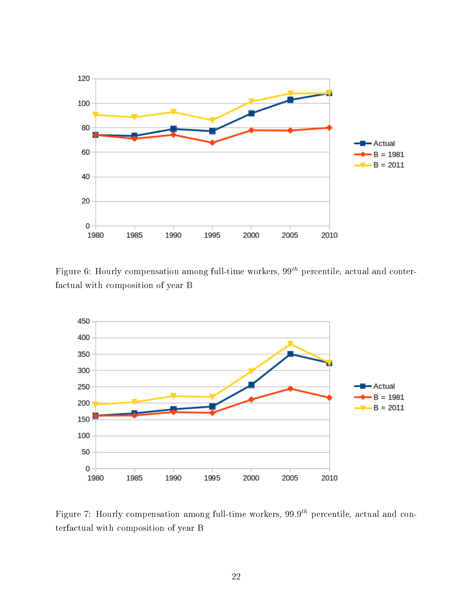

<span id="page-23-0"></span>Figure 6: Hourly compensation among full-time workers,  $99<sup>th</sup>$  percentile, actual and conterfactual with composition of year B



<span id="page-23-1"></span>Figure 7: Hourly compensation among full-time workers,  $99.9^{th}$  percentile, actual and conterfactual with composition of year B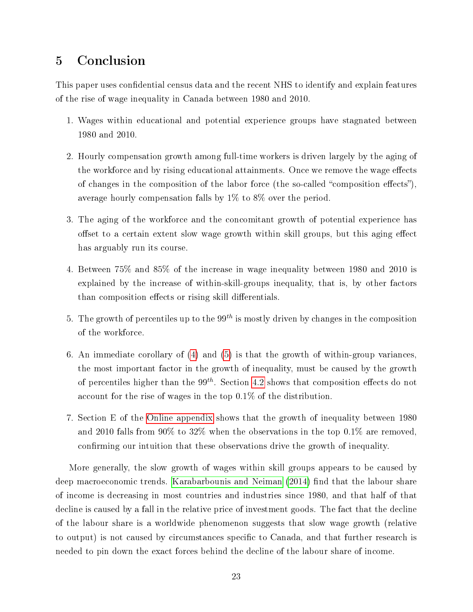# <span id="page-24-0"></span>5 Conclusion

This paper uses confidential census data and the recent NHS to identify and explain features of the rise of wage inequality in Canada between 1980 and 2010.

- 1. Wages within educational and potential experience groups have stagnated between 1980 and 2010.
- 2. Hourly compensation growth among full-time workers is driven largely by the aging of the workforce and by rising educational attainments. Once we remove the wage effects of changes in the composition of the labor force (the so-called "composition effects"), average hourly compensation falls by 1% to 8% over the period.
- 3. The aging of the workforce and the concomitant growth of potential experience has offset to a certain extent slow wage growth within skill groups, but this aging effect has arguably run its course.
- <span id="page-24-1"></span>4. Between 75% and 85% of the increase in wage inequality between 1980 and 2010 is explained by the increase of within-skill-groups inequality, that is, by other factors than composition effects or rising skill differentials.
- <span id="page-24-2"></span>5. The growth of percentiles up to the  $99<sup>th</sup>$  is mostly driven by changes in the composition of the workforce.
- 6. An immediate corollary of [\(4\)](#page-24-1) and [\(5\)](#page-24-2) is that the growth of within-group variances, the most important factor in the growth of inequality, must be caused by the growth of percentiles higher than the  $99<sup>th</sup>$ . Section [4.2](#page-19-2) shows that composition effects do not account for the rise of wages in the top 0.1% of the distribution.
- 7. Section E of the [Online appendix](#page-26-4) shows that the growth of inequality between 1980 and 2010 falls from 90% to 32% when the observations in the top 0.1% are removed. confirming our intuition that these observations drive the growth of inequality.

More generally, the slow growth of wages within skill groups appears to be caused by deep macroeconomic trends. [Karabarbounis and Neiman](#page-25-11) [\(2014\)](#page-25-11) find that the labour share of income is decreasing in most countries and industries since 1980, and that half of that decline is caused by a fall in the relative price of investment goods. The fact that the decline of the labour share is a worldwide phenomenon suggests that slow wage growth (relative to output) is not caused by circumstances specific to Canada, and that further research is needed to pin down the exact forces behind the decline of the labour share of income.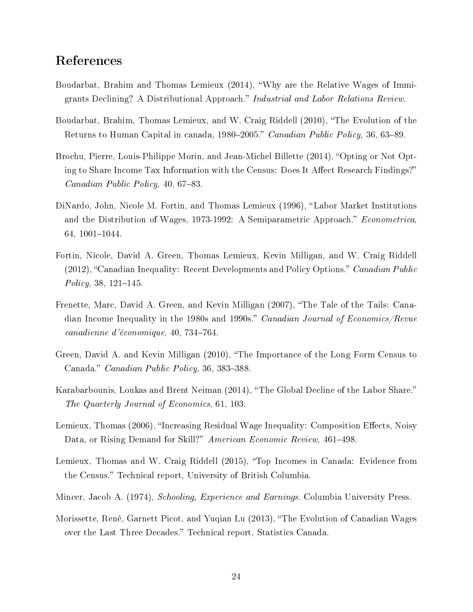# References

- <span id="page-25-10"></span>Boudarbat, Brahim and Thomas Lemieux (2014), Why are the Relative Wages of Immigrants Declining? A Distributional Approach." Industrial and Labor Relations Review.
- <span id="page-25-1"></span>Boudarbat, Brahim, Thomas Lemieux, and W. Craig Riddell (2010), "The Evolution of the Returns to Human Capital in canada, 1980–2005." Canadian Public Policy, 36, 63–89.
- <span id="page-25-6"></span>Brochu, Pierre, Louis-Philippe Morin, and Jean-Michel Billette (2014), "Opting or Not Opting to Share Income Tax Information with the Census: Does It Affect Research Findings?" *Canadian Public Policy*, 40, 67-83.
- <span id="page-25-3"></span>DiNardo, John, Nicole M. Fortin, and Thomas Lemieux (1996), "Labor Market Institutions and the Distribution of Wages, 1973-1992: A Semiparametric Approach." Econometrica, 64, 1001-1044.
- <span id="page-25-0"></span>Fortin, Nicole, David A. Green, Thomas Lemieux, Kevin Milligan, and W. Craig Riddell  $(2012)$ , "Canadian Inequality: Recent Developments and Policy Options." *Canadian Public*  $Policy, 38, 121–145.$
- <span id="page-25-5"></span>Frenette, Marc, David A. Green, and Kevin Milligan (2007), The Tale of the Tails: Canadian Income Inequality in the 1980s and 1990s." Canadian Journal of Economics/Revue  $cana dienne$  d'économique, 40, 734-764.
- <span id="page-25-4"></span>Green, David A. and Kevin Milligan (2010), The Importance of the Long Form Census to Canada." *Canadian Public Policy*, 36, 383-388.
- <span id="page-25-11"></span>Karabarbounis, Loukas and Brent Neiman (2014), "The Global Decline of the Labor Share." The Quarterly Journal of Economics, 61, 103.
- <span id="page-25-2"></span>Lemieux, Thomas (2006), "Increasing Residual Wage Inequality: Composition Effects, Noisy Data, or Rising Demand for Skill?" American Economic Review, 461–498.
- <span id="page-25-7"></span>Lemieux, Thomas and W. Craig Riddell (2015), "Top Incomes in Canada: Evidence from the Census." Technical report, University of British Columbia.
- <span id="page-25-9"></span>Mincer, Jacob A. (1974), Schooling, Experience and Earnings. Columbia University Press.
- <span id="page-25-8"></span>Morissette, René, Garnett Picot, and Yuqian Lu (2013), "The Evolution of Canadian Wages over the Last Three Decades." Technical report, Statistics Canada.